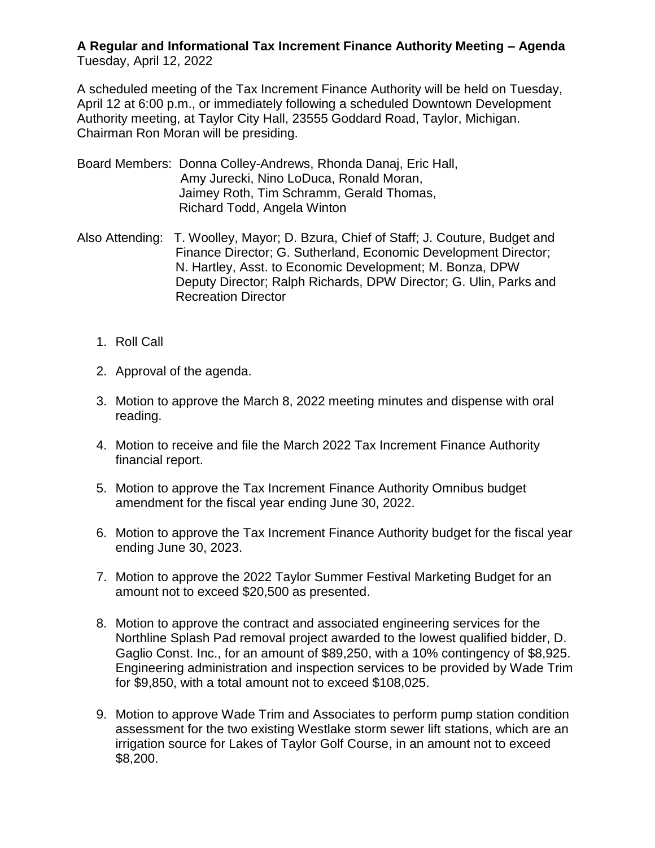## **A Regular and Informational Tax Increment Finance Authority Meeting – Agenda**  Tuesday, April 12, 2022

A scheduled meeting of the Tax Increment Finance Authority will be held on Tuesday, April 12 at 6:00 p.m., or immediately following a scheduled Downtown Development Authority meeting, at Taylor City Hall, 23555 Goddard Road, Taylor, Michigan. Chairman Ron Moran will be presiding.

- Board Members: Donna Colley-Andrews, Rhonda Danaj, Eric Hall, Amy Jurecki, Nino LoDuca, Ronald Moran, Jaimey Roth, Tim Schramm, Gerald Thomas, Richard Todd, Angela Winton
- Also Attending: T. Woolley, Mayor; D. Bzura, Chief of Staff; J. Couture, Budget and Finance Director; G. Sutherland, Economic Development Director; N. Hartley, Asst. to Economic Development; M. Bonza, DPW Deputy Director; Ralph Richards, DPW Director; G. Ulin, Parks and Recreation Director
	- 1. Roll Call
	- 2. Approval of the agenda.
	- 3. Motion to approve the March 8, 2022 meeting minutes and dispense with oral reading.
	- 4. Motion to receive and file the March 2022 Tax Increment Finance Authority financial report.
	- 5. Motion to approve the Tax Increment Finance Authority Omnibus budget amendment for the fiscal year ending June 30, 2022.
	- 6. Motion to approve the Tax Increment Finance Authority budget for the fiscal year ending June 30, 2023.
	- 7. Motion to approve the 2022 Taylor Summer Festival Marketing Budget for an amount not to exceed \$20,500 as presented.
	- 8. Motion to approve the contract and associated engineering services for the Northline Splash Pad removal project awarded to the lowest qualified bidder, D. Gaglio Const. Inc., for an amount of \$89,250, with a 10% contingency of \$8,925. Engineering administration and inspection services to be provided by Wade Trim for \$9,850, with a total amount not to exceed \$108,025.
	- 9. Motion to approve Wade Trim and Associates to perform pump station condition assessment for the two existing Westlake storm sewer lift stations, which are an irrigation source for Lakes of Taylor Golf Course, in an amount not to exceed \$8,200.